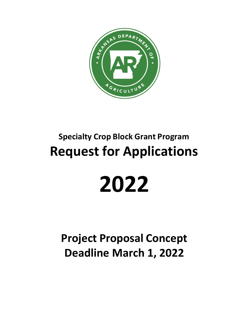

# **Specialty Crop Block Grant Program Request for Applications**

# **2022**

**Project Proposal Concept Deadline March 1, 2022**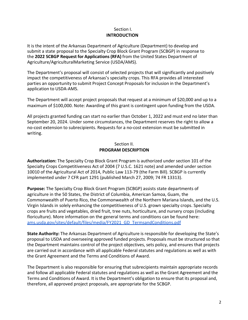### Section I. **INTRODUCTION**

It is the intent of the Arkansas Department of Agriculture (Department) to develop and submit a state proposal to the Specialty Crop Block Grant Program (SCBGP) in response to the **2022 SCBGP Request for Applications (RFA)** from the United States Department of Agriculture/AgriculturalMarketing Service (USDA/AMS).

The Department's proposal will consist of selected projects that will significantly and positively impact the competitiveness of Arkansas's specialty crops. This RFA provides all interested parties an opportunity to submit Project Concept Proposals for inclusion in the Department's application to USDA-AMS.

The Department will accept project proposals that request at a minimum of \$20,000 and up to a maximum of \$100,000. Note: Awarding of this grant is contingent upon funding from the USDA.

All projects granted funding can start no earlier than October 1, 2022 and must end no later than September 20, 2024. Under some circumstances, the Department reserves the right to allow a no-cost extension to subrecipients. Requests for a no-cost extension must be submitted in writing.

#### Section II. **PROGRAM DESCRIPTION**

**Authorization:** The Specialty Crop Block Grant Program is authorized under section 101 of the Specialty Crops Competitiveness Act of 2004 (7 U.S.C. 1621 note) and amended under section 10010 of the Agricultural Act of 2014, Public Law 113-79 (the Farm Bill). SCBGP is currently implemented under 7 CFR part 1291 (published March 27, 2009; 74 FR 13313).

**Purpose:** The Specialty Crop Block Grant Program (SCBGP) assists state departments of agriculture in the 50 States, the District of Columbia, American Samoa, Guam, the Commonwealth of Puerto Rico, the Commonwealth of the Northern Mariana Islands, and the U.S. Virgin Islands in solely enhancing the competitiveness of U.S. grown specialty crops. Specialty crops are fruits and vegetables, dried fruit, tree nuts, horticulture, and nursery crops (including floriculture). More information on the general terms and conditions can be found here: [ams.usda.gov/sites/default/files/media/FY2021\\_GD\\_TermsandConditions.pdf](https://www.ams.usda.gov/sites/default/files/media/FY2021_GD_TermsandConditions.pdf)

**State Authority:** The Arkansas Department of Agriculture is responsible for developing the State's proposal to USDA and overseeing approved funded projects. Proposals must be structured so that the Department maintains control of the project objectives, sets policy, and ensures that projects are carried out in accordance with all applicable Federal statutes and regulations as well as with the Grant Agreement and the Terms and Conditions of Award.

The Department is also responsible for ensuring that subrecipients maintain appropriate records and follow all applicable Federal statutes and regulations as well as the Grant Agreement and the Terms and Conditions of Award. It is the Department's obligation to ensure that its proposal and, therefore, all approved project proposals, are appropriate for the SCBGP.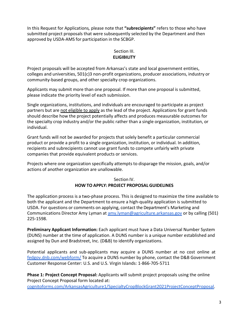In this Request for Applications*,* please note that **"subrecipients"** refers to those who have submitted project proposals that were subsequently selected by the Department and then approved by USDA-AMS for participation in the SCBGP.

# Section III. **ELIGIBILITY**

Project proposals will be accepted from Arkansas's state and local government entities, colleges and universities, 501(c)3 non-profit organizations, producer associations, industry or community-based groups, and other specialty crop organizations.

Applicants may submit more than one proposal. If more than one proposal is submitted, please indicate the priority level of each submission.

Single organizations, institutions, and individuals are encouraged to participate as project partners but are not eligible to apply as the lead of the project. Applications for grant funds should describe how the project potentially affects and produces measurable outcomes for the specialty crop industry and/or the public rather than a single organization, institution, or individual.

Grant funds will not be awarded for projects that solely benefit a particular commercial product or provide a profit to a single organization, institution, or individual. In addition, recipients and subrecipients cannot use grant funds to compete unfairly with private companies that provide equivalent products or services.

Projects where one organization specifically attempts to disparage the mission, goals, and/or actions of another organization are unallowable.

# Section IV. **HOW TO APPLY: PROJECT PROPOSAL GUIDELINES**

The application process is a two-phase process. This is designed to maximize the time available to both the applicant and the Department to ensure a high-quality application is submitted to USDA. For questions or comments on applying, contact the Department's Marketing and Communications Director Amy Lyman at [amy.lyman@agriculture.arkansas.gov](mailto:amy.lyman@agriculture.arkansas.gov) or by calling (501) 225-1598.

**Preliminary Applicant Information:** Each applicant must have a Data Universal Number System (DUNS) number at the time of application. A DUNS number is a unique number established and assigned by Dun and Bradstreet, Inc. (D&B) to identify organizations.

Potential applicants and sub-applicants may acquire a DUNS number at no cost online at [fedgov.dnb.com/webform/](https://fedgov.dnb.com/webform/) To acquire a DUNS number by phone, contact the D&B Government Customer Response Center: U.S. and U.S. Virgin Islands: 1-866-705-5711

**Phase 1: Project Concept Proposal:** Applicants will submit project proposals using the online Project Concept Proposal form located at: [cognitoforms.com/ArkansasAgriculture1/SpecialtyCropBlockGrant2021ProjectConceptProposal.](https://www.cognitoforms.com/ArkansasAgriculture1/SpecialtyCropBlockGrant2021ProjectConceptProposal)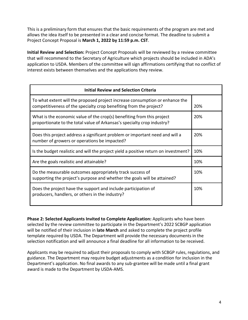This is a preliminary form that ensures that the basic requirements of the program are met and allows the idea itself to be presented in a clear and concise format. The deadline to submit a Project Concept Proposal is **March 1, 2022 by 11:59 p.m. CST**.

**Initial Review and Selection:** Project Concept Proposals will be reviewed by a review committee that will recommend to the Secretary of Agriculture which projects should be included in ADA's application to USDA. Members of the committee will sign affirmations certifying that no conflict of interest exists between themselves and the applications they review.

| <b>Initial Review and Selection Criteria</b>                                                                                                       |     |
|----------------------------------------------------------------------------------------------------------------------------------------------------|-----|
| To what extent will the proposed project increase consumption or enhance the<br>competitiveness of the specialty crop benefiting from the project? | 20% |
| What is the economic value of the crop(s) benefiting from this project<br>proportionate to the total value of Arkansas's specialty crop industry?  | 20% |
| Does this project address a significant problem or important need and will a<br>number of growers or operations be impacted?                       | 20% |
| Is the budget realistic and will the project yield a positive return on investment?                                                                | 10% |
| Are the goals realistic and attainable?                                                                                                            | 10% |
| Do the measurable outcomes appropriately track success of<br>supporting the project's purpose and whether the goals will be attained?              | 10% |
| Does the project have the support and include participation of<br>producers, handlers, or others in the industry?                                  | 10% |

**Phase 2: Selected Applicants Invited to Complete Application:** Applicants who have been selected by the review committee to participate in the Department's 2022 SCBGP application will be notified of their inclusion in **late March** and asked to complete the project profile template required by USDA. The Department will provide the necessary documents in the selection notification and will announce a final deadline for all information to be received.

Applicants may be required to adjust their proposals to comply with SCBGP rules, regulations, and guidance. The Department may require budget adjustments as a condition for inclusion in the Department's application. No final awards to any sub-grantee will be made until a final grant award is made to the Department by USDA-AMS.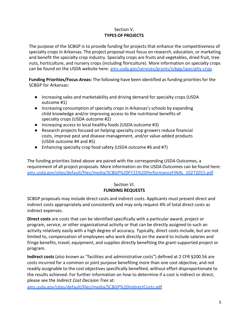# Section V**. TYPES OF PROJECTS**

The purpose of the SCBGP is to provide funding for projects that enhance the competitiveness of specialty crops in Arkansas. The project proposal must focus on research, education, or marketing and benefit the specialty crop industry. Specialty crops are fruits and vegetables, dried fruit, tree nuts, horticulture, and nursery crops (including floriculture). More information on specialty crops can be found on the USDA website here: [ams.usda.gov/services/grants/scbgp/specialty-crop.](https://www.ams.usda.gov/services/grants/scbgp/specialty-crop)

**Funding Priorities/Focus Areas:** The following have been identified as funding priorities for the SCBGP for Arkansas:

- Increasing sales and marketability and driving demand for specialty crops (USDA outcome #1)
- Increasing consumption of specialty crops in Arkansas's schools by expanding child knowledge and/or improving access to the nutritional benefits of specialty crops (USDA outcome #2)
- Increasing access to local healthy foods (USDA outcome #3)
- Research projects focused on helping specialty crop growers reduce financial costs, improve pest and disease management, and/or value-added products (USDA outcome #4 and #5)
- Enhancing specialty crop food safety (USDA outcome #6 and #7)

The funding priorities listed above are paired with the corresponding USDA Outcomes, a requirement of all project proposals. More information on the USDA Outcomes can be found here: [ams.usda.gov/sites/default/files/media/SCBGP%20FY15%20PerformanceFINAL\\_10272015.pdf](https://www.ams.usda.gov/sites/default/files/media/SCBGP%20FY15%20PerformanceFINAL_10272015.pdf)

## Section VI. **FUNDING REQUESTS**

SCBGP proposals may include direct costs and indirect costs. Applicants must present direct and indirect costs appropriately and consistently and may only request 4% of total direct costs as indirect expenses.

**Direct costs** are costs that can be identified specifically with a particular award, project or program, service, or other organizational activity or that can be directly assigned to such an activity relatively easily with a high degree of accuracy. Typically, direct costs include, but are not limited to, compensation of employees who work directly on the award to include salaries and fringe benefits, travel, equipment, and supplies directly benefiting the grant-supported project or program.

**Indirect costs** (also known as "facilities and administrative costs") defined at 2 CFR §200.56 are costs incurred for a common or joint purpose benefiting more than one cost objective, and not readily assignable to the cost objectives specifically benefited, without effort disproportionate to the results achieved. For further information on how to determine if a cost is indirect or direct, please see the *Indirect Cost Decision Tree* at:

[ams.usda.gov/sites/default/files/media/SCBGP%20IndirectCosts.pdf](https://www.ams.usda.gov/sites/default/files/media/SCBGP%20IndirectCosts.pdf)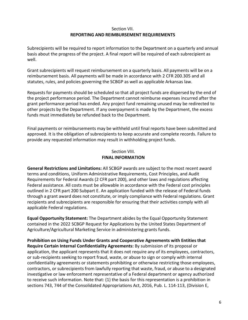#### Section VII. **REPORTING AND REIMBURSEMENT REQUIREMENTS**

Subrecipients will be required to report information to the Department on a quarterly and annual basis about the progress of the project. A final report will be required of each subrecipient as well.

Grant subrecipients will request reimbursement on a quarterly basis. All payments will be on a reimbursement basis. All payments will be made in accordance with 2 CFR 200.305 and all statutes, rules, and policies governing the SCBGP as well as applicable Arkansas law.

Requests for payments should be scheduled so that all project funds are dispersed by the end of the project performance period. The Department cannot reimburse expenses incurred after the grant performance period has ended. Any project fund remaining unused may be redirected to other projects by the Department. If any overpayment is made by the Department, the excess funds must immediately be refunded back to the Department.

Final payments or reimbursements may be withheld until final reports have been submitted and approved. It is the obligation of subrecipients to keep accurate and complete records. Failure to provide any requested information may result in withholding project funds.

### Section VIII. **FINAL INFORMATION**

**General Restrictions and Limitations:** All SCBGP awards are subject to the most recent award terms and conditions, Uniform Administrative Requirements, Cost Principles, and Audit Requirements for Federal Awards (2 CFR part 200), and other laws and regulations affecting Federal assistance. All costs must be allowable in accordance with the Federal cost principles outlined in 2 CFR part 200 Subpart E. An application funded with the release of Federal funds through a grant award does not constitute, or imply compliance with Federal regulations. Grant recipients and subrecipients are responsible for ensuring that their activities comply with all applicable Federal regulations.

**Equal Opportunity Statement:** The Department abides by the Equal Opportunity Statement contained in the 2022 SCBGP Request for Applications by the United States Department of Agriculture/Agricultural Marketing Service in administering grants funds.

**Prohibition on Using Funds Under Grants and Cooperative Agreements with Entities that Require Certain Internal Confidentiality Agreements:** By submission of its proposal or application, the applicant represents that it does not require any of its employees, contractors, or sub-recipients seeking to report fraud, waste, or abuse to sign or comply with internal confidentiality agreements or statements prohibiting or otherwise restricting those employees, contractors, or subrecipients from lawfully reporting that waste, fraud, or abuse to a designated investigative or law enforcement representative of a Federal department or agency authorized to receive such information. Note that: (1) the basis for this representation is a prohibition in sections 743, 744 of the Consolidated Appropriations Act, 2016, Pub. L. 114-113, (Division E,